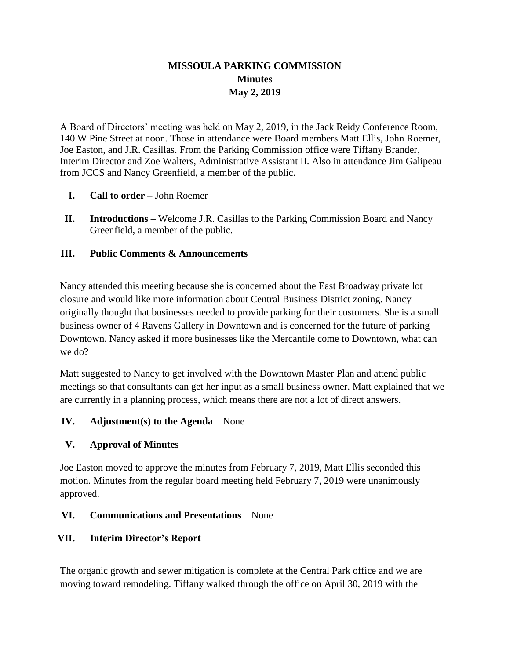# **MISSOULA PARKING COMMISSION Minutes May 2, 2019**

A Board of Directors' meeting was held on May 2, 2019, in the Jack Reidy Conference Room, 140 W Pine Street at noon. Those in attendance were Board members Matt Ellis, John Roemer, Joe Easton, and J.R. Casillas. From the Parking Commission office were Tiffany Brander, Interim Director and Zoe Walters, Administrative Assistant II. Also in attendance Jim Galipeau from JCCS and Nancy Greenfield, a member of the public.

- **I. Call to order –** John Roemer
- **II. Introductions –** Welcome J.R. Casillas to the Parking Commission Board and Nancy Greenfield, a member of the public.

### **III. Public Comments & Announcements**

Nancy attended this meeting because she is concerned about the East Broadway private lot closure and would like more information about Central Business District zoning. Nancy originally thought that businesses needed to provide parking for their customers. She is a small business owner of 4 Ravens Gallery in Downtown and is concerned for the future of parking Downtown. Nancy asked if more businesses like the Mercantile come to Downtown, what can we do?

Matt suggested to Nancy to get involved with the Downtown Master Plan and attend public meetings so that consultants can get her input as a small business owner. Matt explained that we are currently in a planning process, which means there are not a lot of direct answers.

# **IV. Adjustment(s) to the Agenda** – None

# **V. Approval of Minutes**

Joe Easton moved to approve the minutes from February 7, 2019, Matt Ellis seconded this motion. Minutes from the regular board meeting held February 7, 2019 were unanimously approved.

# **VI. Communications and Presentations** – None

# **VII. Interim Director's Report**

The organic growth and sewer mitigation is complete at the Central Park office and we are moving toward remodeling. Tiffany walked through the office on April 30, 2019 with the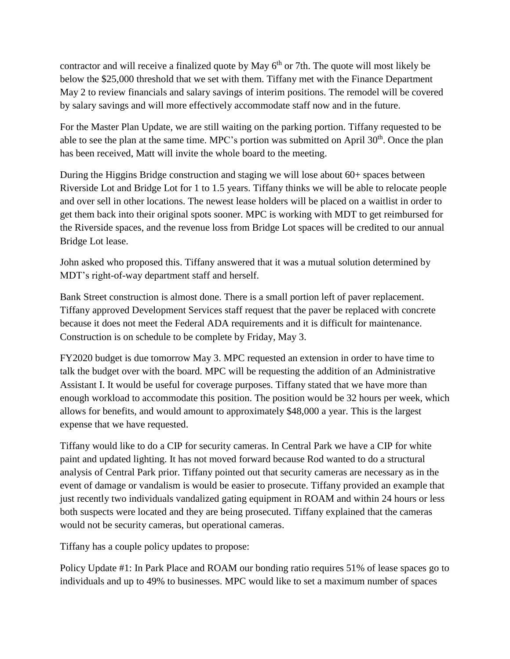contractor and will receive a finalized quote by May  $6<sup>th</sup>$  or 7th. The quote will most likely be below the \$25,000 threshold that we set with them. Tiffany met with the Finance Department May 2 to review financials and salary savings of interim positions. The remodel will be covered by salary savings and will more effectively accommodate staff now and in the future.

For the Master Plan Update, we are still waiting on the parking portion. Tiffany requested to be able to see the plan at the same time. MPC's portion was submitted on April  $30<sup>th</sup>$ . Once the plan has been received, Matt will invite the whole board to the meeting.

During the Higgins Bridge construction and staging we will lose about 60+ spaces between Riverside Lot and Bridge Lot for 1 to 1.5 years. Tiffany thinks we will be able to relocate people and over sell in other locations. The newest lease holders will be placed on a waitlist in order to get them back into their original spots sooner. MPC is working with MDT to get reimbursed for the Riverside spaces, and the revenue loss from Bridge Lot spaces will be credited to our annual Bridge Lot lease.

John asked who proposed this. Tiffany answered that it was a mutual solution determined by MDT's right-of-way department staff and herself.

Bank Street construction is almost done. There is a small portion left of paver replacement. Tiffany approved Development Services staff request that the paver be replaced with concrete because it does not meet the Federal ADA requirements and it is difficult for maintenance. Construction is on schedule to be complete by Friday, May 3.

FY2020 budget is due tomorrow May 3. MPC requested an extension in order to have time to talk the budget over with the board. MPC will be requesting the addition of an Administrative Assistant I. It would be useful for coverage purposes. Tiffany stated that we have more than enough workload to accommodate this position. The position would be 32 hours per week, which allows for benefits, and would amount to approximately \$48,000 a year. This is the largest expense that we have requested.

Tiffany would like to do a CIP for security cameras. In Central Park we have a CIP for white paint and updated lighting. It has not moved forward because Rod wanted to do a structural analysis of Central Park prior. Tiffany pointed out that security cameras are necessary as in the event of damage or vandalism is would be easier to prosecute. Tiffany provided an example that just recently two individuals vandalized gating equipment in ROAM and within 24 hours or less both suspects were located and they are being prosecuted. Tiffany explained that the cameras would not be security cameras, but operational cameras.

Tiffany has a couple policy updates to propose:

Policy Update #1: In Park Place and ROAM our bonding ratio requires 51% of lease spaces go to individuals and up to 49% to businesses. MPC would like to set a maximum number of spaces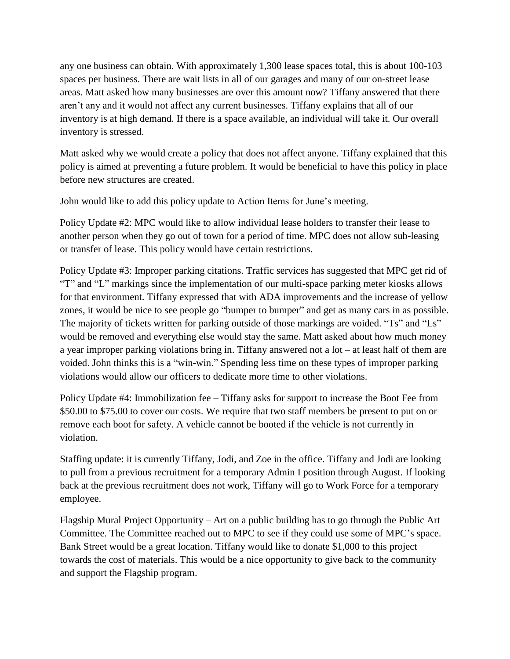any one business can obtain. With approximately 1,300 lease spaces total, this is about 100-103 spaces per business. There are wait lists in all of our garages and many of our on-street lease areas. Matt asked how many businesses are over this amount now? Tiffany answered that there aren't any and it would not affect any current businesses. Tiffany explains that all of our inventory is at high demand. If there is a space available, an individual will take it. Our overall inventory is stressed.

Matt asked why we would create a policy that does not affect anyone. Tiffany explained that this policy is aimed at preventing a future problem. It would be beneficial to have this policy in place before new structures are created.

John would like to add this policy update to Action Items for June's meeting.

Policy Update #2: MPC would like to allow individual lease holders to transfer their lease to another person when they go out of town for a period of time. MPC does not allow sub-leasing or transfer of lease. This policy would have certain restrictions.

Policy Update #3: Improper parking citations. Traffic services has suggested that MPC get rid of "T" and "L" markings since the implementation of our multi-space parking meter kiosks allows for that environment. Tiffany expressed that with ADA improvements and the increase of yellow zones, it would be nice to see people go "bumper to bumper" and get as many cars in as possible. The majority of tickets written for parking outside of those markings are voided. "Ts" and "Ls" would be removed and everything else would stay the same. Matt asked about how much money a year improper parking violations bring in. Tiffany answered not a lot – at least half of them are voided. John thinks this is a "win-win." Spending less time on these types of improper parking violations would allow our officers to dedicate more time to other violations.

Policy Update #4: Immobilization fee – Tiffany asks for support to increase the Boot Fee from \$50.00 to \$75.00 to cover our costs. We require that two staff members be present to put on or remove each boot for safety. A vehicle cannot be booted if the vehicle is not currently in violation.

Staffing update: it is currently Tiffany, Jodi, and Zoe in the office. Tiffany and Jodi are looking to pull from a previous recruitment for a temporary Admin I position through August. If looking back at the previous recruitment does not work, Tiffany will go to Work Force for a temporary employee.

Flagship Mural Project Opportunity – Art on a public building has to go through the Public Art Committee. The Committee reached out to MPC to see if they could use some of MPC's space. Bank Street would be a great location. Tiffany would like to donate \$1,000 to this project towards the cost of materials. This would be a nice opportunity to give back to the community and support the Flagship program.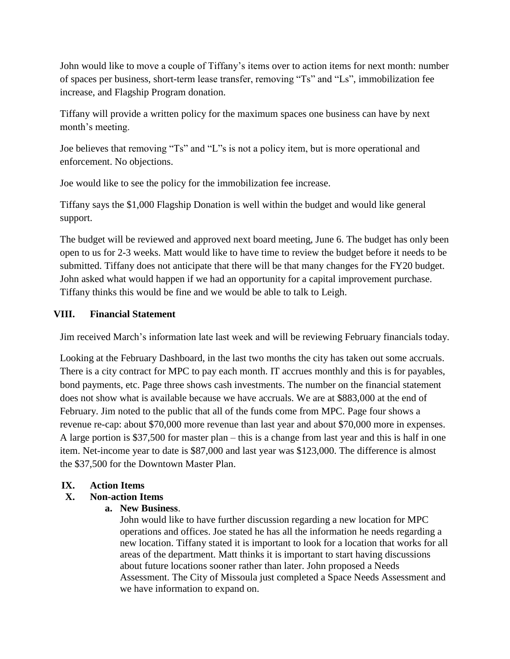John would like to move a couple of Tiffany's items over to action items for next month: number of spaces per business, short-term lease transfer, removing "Ts" and "Ls", immobilization fee increase, and Flagship Program donation.

Tiffany will provide a written policy for the maximum spaces one business can have by next month's meeting.

Joe believes that removing "Ts" and "L"s is not a policy item, but is more operational and enforcement. No objections.

Joe would like to see the policy for the immobilization fee increase.

Tiffany says the \$1,000 Flagship Donation is well within the budget and would like general support.

The budget will be reviewed and approved next board meeting, June 6. The budget has only been open to us for 2-3 weeks. Matt would like to have time to review the budget before it needs to be submitted. Tiffany does not anticipate that there will be that many changes for the FY20 budget. John asked what would happen if we had an opportunity for a capital improvement purchase. Tiffany thinks this would be fine and we would be able to talk to Leigh.

### **VIII. Financial Statement**

Jim received March's information late last week and will be reviewing February financials today.

Looking at the February Dashboard, in the last two months the city has taken out some accruals. There is a city contract for MPC to pay each month. IT accrues monthly and this is for payables, bond payments, etc. Page three shows cash investments. The number on the financial statement does not show what is available because we have accruals. We are at \$883,000 at the end of February. Jim noted to the public that all of the funds come from MPC. Page four shows a revenue re-cap: about \$70,000 more revenue than last year and about \$70,000 more in expenses. A large portion is \$37,500 for master plan – this is a change from last year and this is half in one item. Net-income year to date is \$87,000 and last year was \$123,000. The difference is almost the \$37,500 for the Downtown Master Plan.

# **IX. Action Items**

# **X. Non-action Items**

**a. New Business**.

John would like to have further discussion regarding a new location for MPC operations and offices. Joe stated he has all the information he needs regarding a new location. Tiffany stated it is important to look for a location that works for all areas of the department. Matt thinks it is important to start having discussions about future locations sooner rather than later. John proposed a Needs Assessment. The City of Missoula just completed a Space Needs Assessment and we have information to expand on.